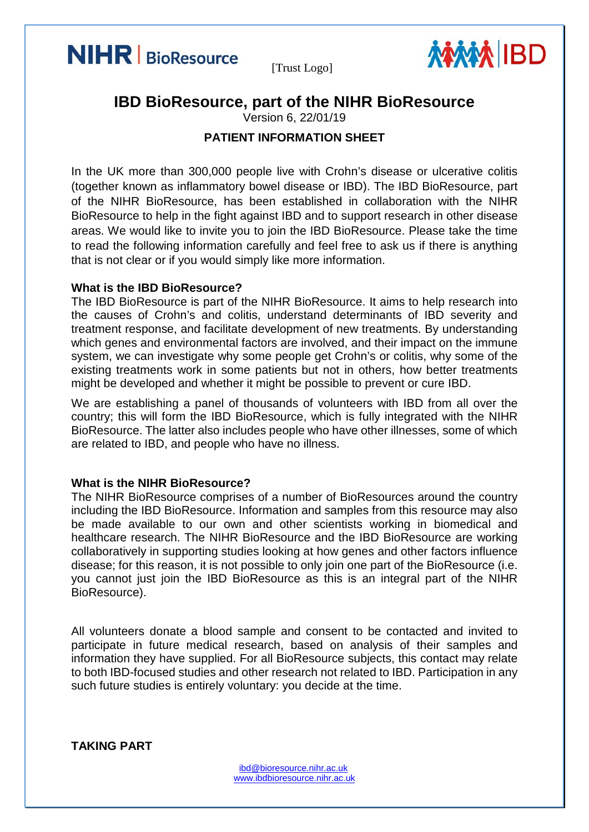



# **IBD BioResource, part of the NIHR BioResource** Version 6, 22/01/19

# **PATIENT INFORMATION SHEET**

In the UK more than 300,000 people live with Crohn's disease or ulcerative colitis (together known as inflammatory bowel disease or IBD). The IBD BioResource, part of the NIHR BioResource, has been established in collaboration with the NIHR BioResource to help in the fight against IBD and to support research in other disease areas. We would like to invite you to join the IBD BioResource. Please take the time to read the following information carefully and feel free to ask us if there is anything that is not clear or if you would simply like more information.

#### **What is the IBD BioResource?**

The IBD BioResource is part of the NIHR BioResource. It aims to help research into the causes of Crohn's and colitis, understand determinants of IBD severity and treatment response, and facilitate development of new treatments. By understanding which genes and environmental factors are involved, and their impact on the immune system, we can investigate why some people get Crohn's or colitis, why some of the existing treatments work in some patients but not in others, how better treatments might be developed and whether it might be possible to prevent or cure IBD.

We are establishing a panel of thousands of volunteers with IBD from all over the country; this will form the IBD BioResource, which is fully integrated with the NIHR BioResource. The latter also includes people who have other illnesses, some of which are related to IBD, and people who have no illness.

#### **What is the NIHR BioResource?**

The NIHR BioResource comprises of a number of BioResources around the country including the IBD BioResource. Information and samples from this resource may also be made available to our own and other scientists working in biomedical and healthcare research. The NIHR BioResource and the IBD BioResource are working collaboratively in supporting studies looking at how genes and other factors influence disease; for this reason, it is not possible to only join one part of the BioResource (i.e. you cannot just join the IBD BioResource as this is an integral part of the NIHR BioResource).

All volunteers donate a blood sample and consent to be contacted and invited to participate in future medical research, based on analysis of their samples and information they have supplied. For all BioResource subjects, this contact may relate to both IBD-focused studies and other research not related to IBD. Participation in any such future studies is entirely voluntary: you decide at the time.

**TAKING PART**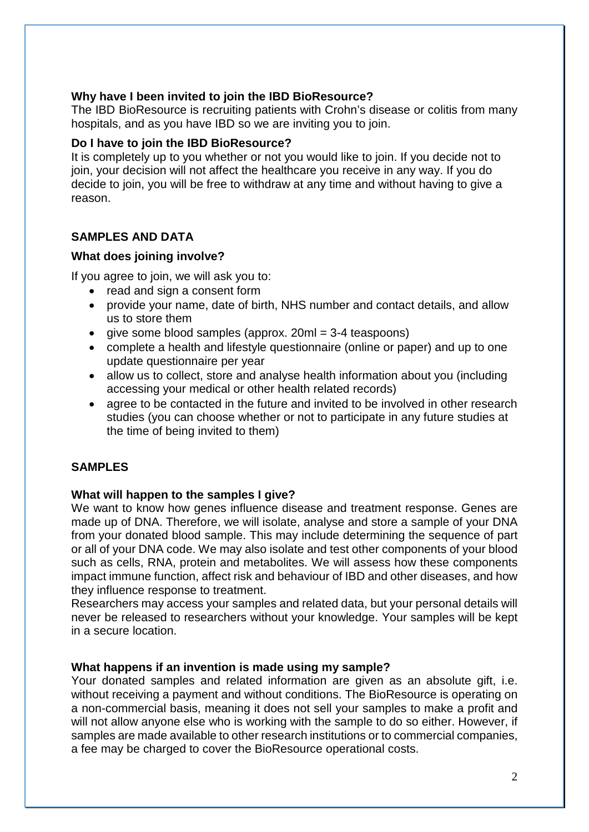## **Why have I been invited to join the IBD BioResource?**

The IBD BioResource is recruiting patients with Crohn's disease or colitis from many hospitals, and as you have IBD so we are inviting you to join.

#### **Do I have to join the IBD BioResource?**

It is completely up to you whether or not you would like to join. If you decide not to join, your decision will not affect the healthcare you receive in any way. If you do decide to join, you will be free to withdraw at any time and without having to give a reason.

# **SAMPLES AND DATA**

#### **What does joining involve?**

If you agree to join, we will ask you to:

- read and sign a consent form
- provide your name, date of birth, NHS number and contact details, and allow us to store them
- $\bullet$  give some blood samples (approx. 20ml = 3-4 teaspoons)
- complete a health and lifestyle questionnaire (online or paper) and up to one update questionnaire per year
- allow us to collect, store and analyse health information about you (including accessing your medical or other health related records)
- agree to be contacted in the future and invited to be involved in other research studies (you can choose whether or not to participate in any future studies at the time of being invited to them)

# **SAMPLES**

# **What will happen to the samples I give?**

We want to know how genes influence disease and treatment response. Genes are made up of DNA. Therefore, we will isolate, analyse and store a sample of your DNA from your donated blood sample. This may include determining the sequence of part or all of your DNA code. We may also isolate and test other components of your blood such as cells, RNA, protein and metabolites. We will assess how these components impact immune function, affect risk and behaviour of IBD and other diseases, and how they influence response to treatment.

Researchers may access your samples and related data, but your personal details will never be released to researchers without your knowledge. Your samples will be kept in a secure location.

#### **What happens if an invention is made using my sample?**

Your donated samples and related information are given as an absolute gift, i.e. without receiving a payment and without conditions. The BioResource is operating on a non-commercial basis, meaning it does not sell your samples to make a profit and will not allow anyone else who is working with the sample to do so either. However, if samples are made available to other research institutions or to commercial companies, a fee may be charged to cover the BioResource operational costs.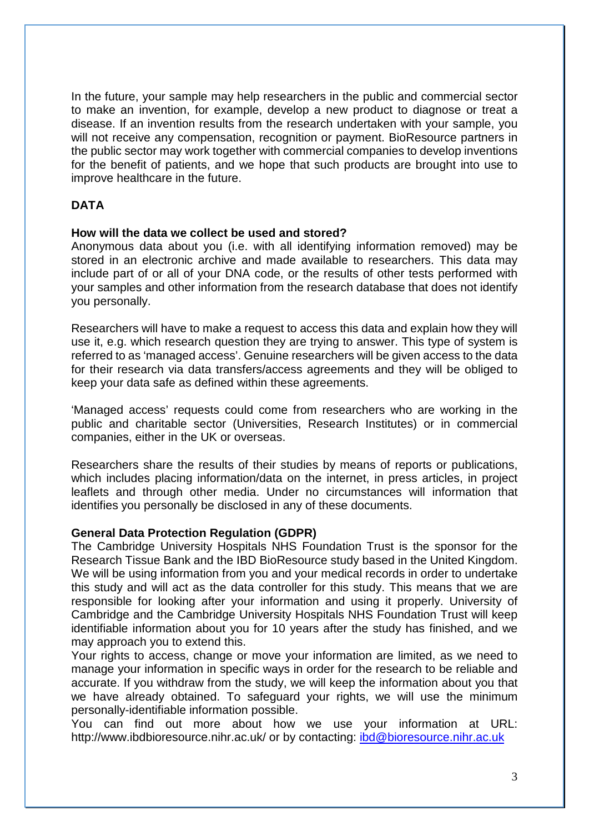In the future, your sample may help researchers in the public and commercial sector to make an invention, for example, develop a new product to diagnose or treat a disease. If an invention results from the research undertaken with your sample, you will not receive any compensation, recognition or payment. BioResource partners in the public sector may work together with commercial companies to develop inventions for the benefit of patients, and we hope that such products are brought into use to improve healthcare in the future.

# **DATA**

#### **How will the data we collect be used and stored?**

Anonymous data about you (i.e. with all identifying information removed) may be stored in an electronic archive and made available to researchers. This data may include part of or all of your DNA code, or the results of other tests performed with your samples and other information from the research database that does not identify you personally.

Researchers will have to make a request to access this data and explain how they will use it, e.g. which research question they are trying to answer. This type of system is referred to as 'managed access'. Genuine researchers will be given access to the data for their research via data transfers/access agreements and they will be obliged to keep your data safe as defined within these agreements.

'Managed access' requests could come from researchers who are working in the public and charitable sector (Universities, Research Institutes) or in commercial companies, either in the UK or overseas.

Researchers share the results of their studies by means of reports or publications, which includes placing information/data on the internet, in press articles, in project leaflets and through other media. Under no circumstances will information that identifies you personally be disclosed in any of these documents.

# **General Data Protection Regulation (GDPR)**

The Cambridge University Hospitals NHS Foundation Trust is the sponsor for the Research Tissue Bank and the IBD BioResource study based in the United Kingdom. We will be using information from you and your medical records in order to undertake this study and will act as the data controller for this study. This means that we are responsible for looking after your information and using it properly. University of Cambridge and the Cambridge University Hospitals NHS Foundation Trust will keep identifiable information about you for 10 years after the study has finished, and we may approach you to extend this.

Your rights to access, change or move your information are limited, as we need to manage your information in specific ways in order for the research to be reliable and accurate. If you withdraw from the study, we will keep the information about you that we have already obtained. To safeguard your rights, we will use the minimum personally-identifiable information possible.

You can find out more about how we use your information at URL: http://www.ibdbioresource.nihr.ac.uk/ or by contacting: [ibd@bioresource.nihr.ac.uk](mailto:ibd@bioresource.nihr.ac.uk)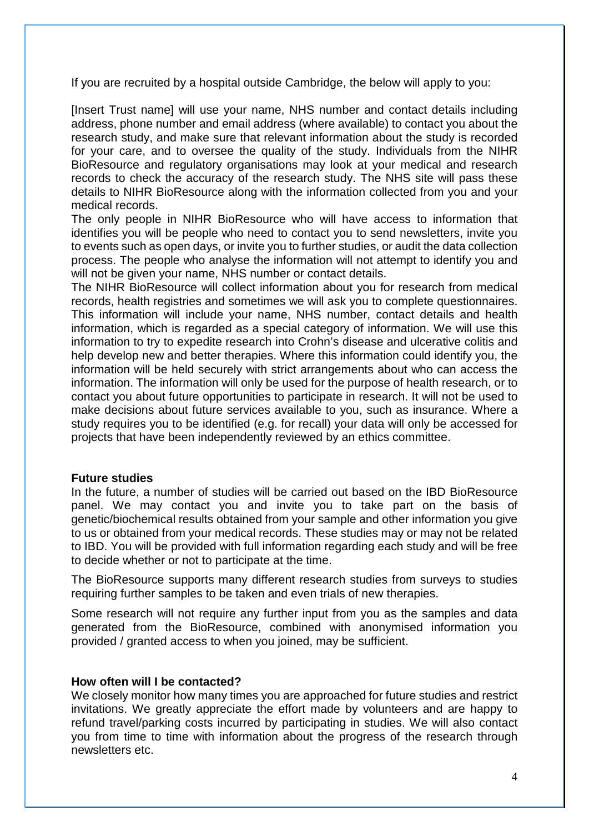If you are recruited by a hospital outside Cambridge, the below will apply to you:

[Insert Trust name] will use your name, NHS number and contact details including address, phone number and email address (where available) to contact you about the research study, and make sure that relevant information about the study is recorded for your care, and to oversee the quality of the study. Individuals from the NIHR BioResource and regulatory organisations may look at your medical and research records to check the accuracy of the research study. The NHS site will pass these details to NIHR BioResource along with the information collected from you and your medical records.

The only people in NIHR BioResource who will have access to information that identifies you will be people who need to contact you to send newsletters, invite you to events such as open days, or invite you to further studies, or audit the data collection process. The people who analyse the information will not attempt to identify you and will not be given your name, NHS number or contact details.

The NIHR BioResource will collect information about you for research from medical records, health registries and sometimes we will ask you to complete questionnaires. This information will include your name, NHS number, contact details and health information, which is regarded as a special category of information. We will use this information to try to expedite research into Crohn's disease and ulcerative colitis and help develop new and better therapies. Where this information could identify you, the information will be held securely with strict arrangements about who can access the information. The information will only be used for the purpose of health research, or to contact you about future opportunities to participate in research. It will not be used to make decisions about future services available to you, such as insurance. Where a study requires you to be identified (e.g. for recall) your data will only be accessed for projects that have been independently reviewed by an ethics committee.

# **Future studies**

In the future, a number of studies will be carried out based on the IBD BioResource panel. We may contact you and invite you to take part on the basis of genetic/biochemical results obtained from your sample and other information you give to us or obtained from your medical records. These studies may or may not be related to IBD. You will be provided with full information regarding each study and will be free to decide whether or not to participate at the time.

The BioResource supports many different research studies from surveys to studies requiring further samples to be taken and even trials of new therapies.

Some research will not require any further input from you as the samples and data generated from the BioResource, combined with anonymised information you provided / granted access to when you joined, may be sufficient.

# **How often will I be contacted?**

We closely monitor how many times you are approached for future studies and restrict invitations. We greatly appreciate the effort made by volunteers and are happy to refund travel/parking costs incurred by participating in studies. We will also contact you from time to time with information about the progress of the research through newsletters etc.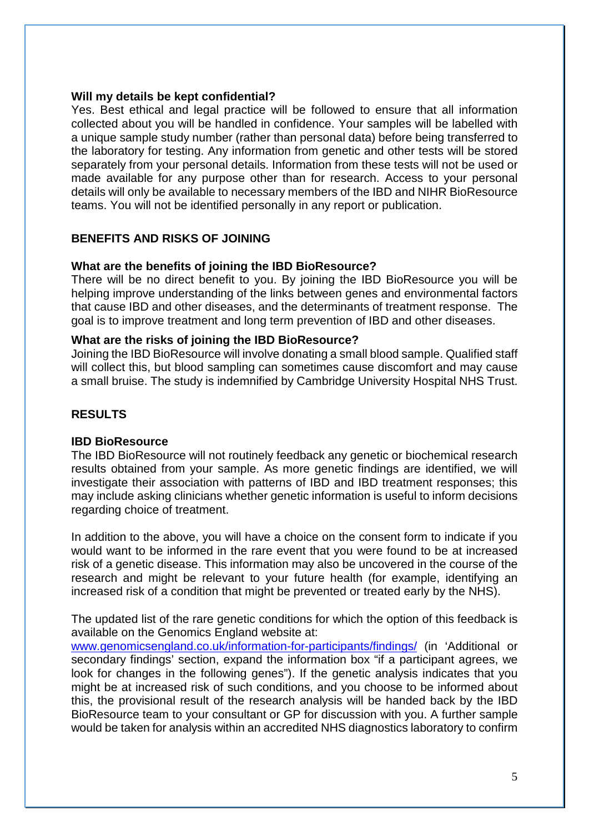#### **Will my details be kept confidential?**

Yes. Best ethical and legal practice will be followed to ensure that all information collected about you will be handled in confidence. Your samples will be labelled with a unique sample study number (rather than personal data) before being transferred to the laboratory for testing. Any information from genetic and other tests will be stored separately from your personal details. Information from these tests will not be used or made available for any purpose other than for research. Access to your personal details will only be available to necessary members of the IBD and NIHR BioResource teams. You will not be identified personally in any report or publication.

# **BENEFITS AND RISKS OF JOINING**

# **What are the benefits of joining the IBD BioResource?**

There will be no direct benefit to you. By joining the IBD BioResource you will be helping improve understanding of the links between genes and environmental factors that cause IBD and other diseases, and the determinants of treatment response. The goal is to improve treatment and long term prevention of IBD and other diseases.

#### **What are the risks of joining the IBD BioResource?**

Joining the IBD BioResource will involve donating a small blood sample. Qualified staff will collect this, but blood sampling can sometimes cause discomfort and may cause a small bruise. The study is indemnified by Cambridge University Hospital NHS Trust.

# **RESULTS**

# **IBD BioResource**

The IBD BioResource will not routinely feedback any genetic or biochemical research results obtained from your sample. As more genetic findings are identified, we will investigate their association with patterns of IBD and IBD treatment responses; this may include asking clinicians whether genetic information is useful to inform decisions regarding choice of treatment.

In addition to the above, you will have a choice on the consent form to indicate if you would want to be informed in the rare event that you were found to be at increased risk of a genetic disease. This information may also be uncovered in the course of the research and might be relevant to your future health (for example, identifying an increased risk of a condition that might be prevented or treated early by the NHS).

The updated list of the rare genetic conditions for which the option of this feedback is available on the Genomics England website at:

[www.genomicsengland.co.uk/information-for-participants/findings/](http://www.genomicsengland.co.uk/information-for-participants/findings/) (in 'Additional or secondary findings' section, expand the information box "if a participant agrees, we look for changes in the following genes"). If the genetic analysis indicates that you might be at increased risk of such conditions, and you choose to be informed about this, the provisional result of the research analysis will be handed back by the IBD BioResource team to your consultant or GP for discussion with you. A further sample would be taken for analysis within an accredited NHS diagnostics laboratory to confirm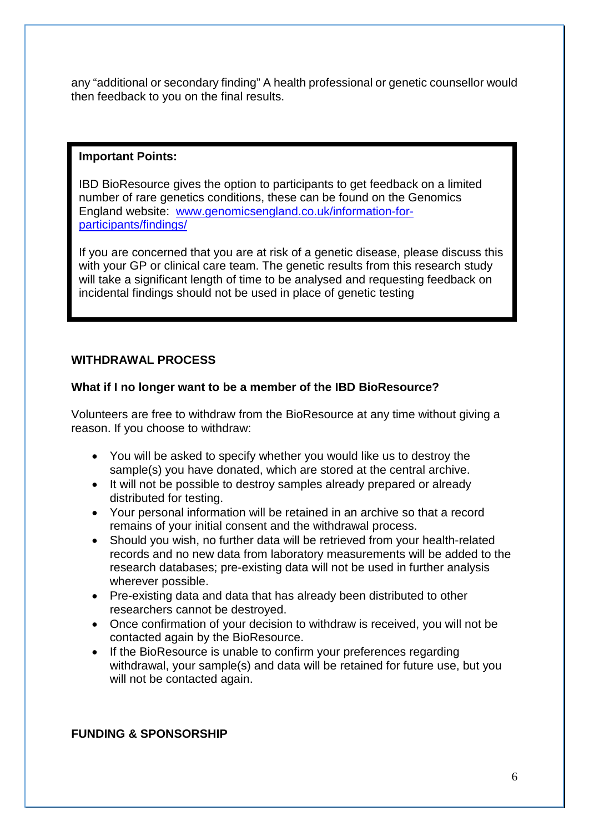any "additional or secondary finding" A health professional or genetic counsellor would then feedback to you on the final results.

# **Important Points:**

IBD BioResource gives the option to participants to get feedback on a limited number of rare genetics conditions, these can be found on the Genomics England website: [www.genomicsengland.co.uk/information-for](http://www.genomicsengland.co.uk/information-for-participants/findings/)[participants/findings/](http://www.genomicsengland.co.uk/information-for-participants/findings/)

If you are concerned that you are at risk of a genetic disease, please discuss this with your GP or clinical care team. The genetic results from this research study will take a significant length of time to be analysed and requesting feedback on incidental findings should not be used in place of genetic testing

# **WITHDRAWAL PROCESS**

# **What if I no longer want to be a member of the IBD BioResource?**

Volunteers are free to withdraw from the BioResource at any time without giving a reason. If you choose to withdraw:

- You will be asked to specify whether you would like us to destroy the sample(s) you have donated, which are stored at the central archive.
- It will not be possible to destroy samples already prepared or already distributed for testing.
- Your personal information will be retained in an archive so that a record remains of your initial consent and the withdrawal process.
- Should you wish, no further data will be retrieved from your health-related records and no new data from laboratory measurements will be added to the research databases; pre-existing data will not be used in further analysis wherever possible.
- Pre-existing data and data that has already been distributed to other researchers cannot be destroyed.
- Once confirmation of your decision to withdraw is received, you will not be contacted again by the BioResource.
- If the BioResource is unable to confirm your preferences regarding withdrawal, your sample(s) and data will be retained for future use, but you will not be contacted again.

# **FUNDING & SPONSORSHIP**